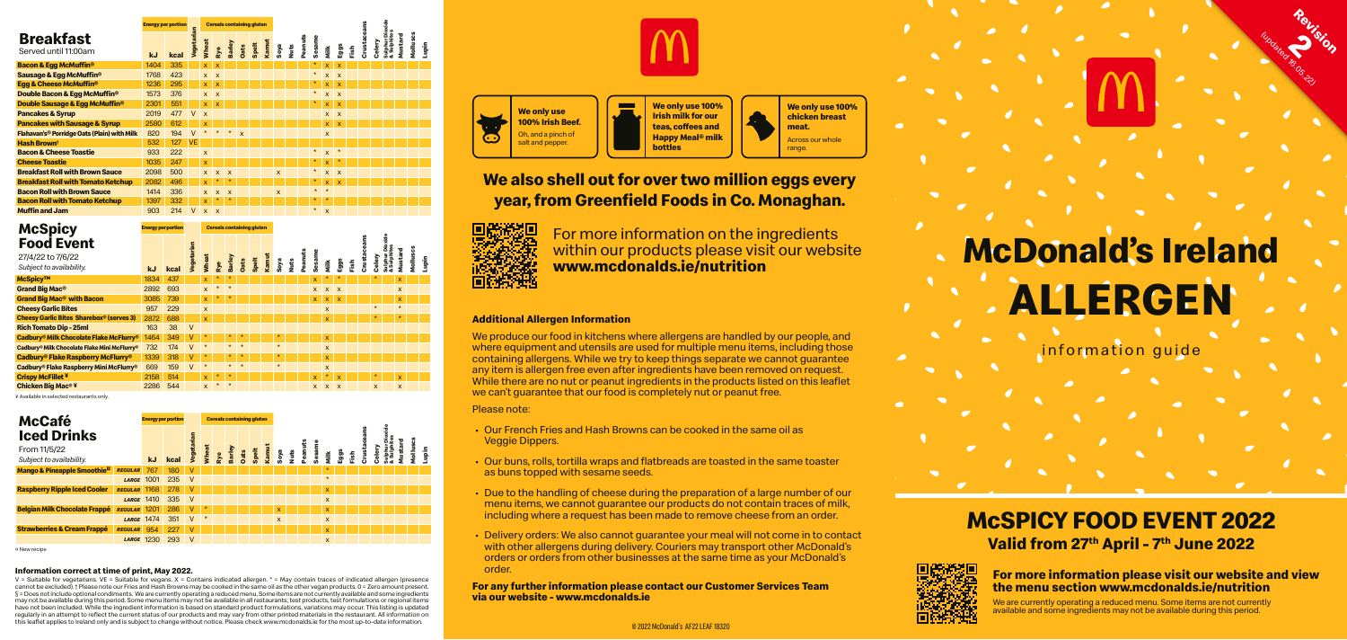#### **Information correct at time of print, May 2022.**

V = Suitable for vegetarians. VE = Suitable for vegans. X = Contains indicated allergen. \* = May contain traces of indicated allergen (presence cannot be excluded). † Please note our Fries and Hash Browns may be cooked in the same oil as the other vegan products. 0 = Zero amount present. § = Does not include optional condiments. We are currently operating a reduced menu. Some items are not currently available and some ingredients may not be available during this period. Some menu items may not be available in all restaurants; test products, test formulations or regional items have not been included. While the ingredient information is based on standard product formulations, variations may occur. This listing is updated regularly in an attempt to reflect the current status of our products and may vary from other printed materials in the restaurant. All information on this leaflet applies to Ireland only and is subject to change without notice. Please check www.mcdonalds.ie for the most up-to-date information.



-

information guide

# **ALLERGEN McDonald's Ireland**

Rev<sub>ision</sub>

(updated 16.05.22)

# **Breakfast**

We produce our food in kitchens where allergens are handled by our people, and where equipment and utensils are used for multiple menu items, including those containing allergens. While we try to keep things separate we cannot guarantee any item is allergen free even after ingredients have been removed on request. While there are no nut or peanut ingredients in the products listed on this leaflet we can't quarantee that our food is completely nut or peanut free.

|                                             |      | <b>Energy per portion</b> |                   |              |                           |                           |              | <b>Cereals containing gluten</b> |       |                           |      |         |         |                           |                           |      |        |        | Dioxid                     |         |          |       |
|---------------------------------------------|------|---------------------------|-------------------|--------------|---------------------------|---------------------------|--------------|----------------------------------|-------|---------------------------|------|---------|---------|---------------------------|---------------------------|------|--------|--------|----------------------------|---------|----------|-------|
| <b>Breakfast</b><br>Served until 11:00am    | kJ   | kcal                      | <b>Jegetarian</b> | <b>Wheat</b> | Rye                       | <b>Barley</b>             | Dats         | Spelt                            | Kamut | Soya                      | Nuts | Peanuts | Sesame  | Milk                      | Eggs                      | Fish | Crusta | Celery | Sulphur Dio<br>& Sulphites | Mustard | Molluscs | Lupin |
| <b>Bacon &amp; Egg McMuffin<sup>®</sup></b> | 1404 | 335                       |                   | $\mathsf{x}$ | $\overline{\mathsf{x}}$   |                           |              |                                  |       |                           |      |         | $\star$ | X                         | $\overline{\mathsf{x}}$   |      |        |        |                            |         |          |       |
| Sausage & Egg McMuffin <sup>®</sup>         | 1768 | 423                       |                   | $\mathsf{x}$ | $\boldsymbol{\mathsf{x}}$ |                           |              |                                  |       |                           |      |         | $\star$ | $\mathsf{x}$              | $\mathsf{x}$              |      |        |        |                            |         |          |       |
| Egg & Cheese McMuffin <sup>®</sup>          | 1236 | 295                       |                   | X            | $\overline{\mathsf{x}}$   |                           |              |                                  |       |                           |      |         | $\ast$  | X                         | $\overline{\mathsf{x}}$   |      |        |        |                            |         |          |       |
| Double Bacon & Eqq McMuffin <sup>®</sup>    | 1573 | 376                       |                   | $\mathsf{x}$ | $\boldsymbol{\mathsf{x}}$ |                           |              |                                  |       |                           |      |         | $\star$ | $\mathsf{x}$              | $\boldsymbol{\mathsf{x}}$ |      |        |        |                            |         |          |       |
| Double Sausage & Egg McMuffin <sup>®</sup>  | 2301 | 551                       |                   | $\mathsf{x}$ | $\mathbf{x}$              |                           |              |                                  |       |                           |      |         | $\ast$  | $\boldsymbol{\mathsf{x}}$ | X                         |      |        |        |                            |         |          |       |
| <b>Pancakes &amp; Syrup</b>                 | 2019 | 477                       | $\mathsf{V}$      | $\mathsf{x}$ |                           |                           |              |                                  |       |                           |      |         |         | X                         | $\boldsymbol{\mathsf{x}}$ |      |        |        |                            |         |          |       |
| <b>Pancakes with Sausage &amp; Syrup</b>    | 2580 | 612                       |                   | X            |                           |                           |              |                                  |       |                           |      |         |         | $\mathsf{x}$              | $\boldsymbol{\mathsf{x}}$ |      |        |        |                            |         |          |       |
| Flahavan's® Porridge Oats (Plain) with Milk | 820  | 194                       | $\vee$            | $\star$      | $\star$                   | $\star$                   | $\mathsf{x}$ |                                  |       |                           |      |         |         | $\boldsymbol{\mathsf{x}}$ |                           |      |        |        |                            |         |          |       |
| <b>Hash Brownt</b>                          | 532  | 127                       | <b>VE</b>         |              |                           |                           |              |                                  |       |                           |      |         |         |                           |                           |      |        |        |                            |         |          |       |
| <b>Bacon &amp; Cheese Toastie</b>           | 933  | 222                       |                   | $\mathsf{x}$ |                           |                           |              |                                  |       |                           |      |         | $\star$ | $\mathsf{x}$              | $\star$                   |      |        |        |                            |         |          |       |
| <b>Cheese Toastie</b>                       | 1035 | 247                       |                   | $\mathbf{x}$ |                           |                           |              |                                  |       |                           |      |         | $\star$ | $\mathsf{x}$              | $\star$                   |      |        |        |                            |         |          |       |
| <b>Breakfast Roll with Brown Sauce</b>      | 2098 | 500                       |                   | $\mathsf{x}$ | $\mathbf{x}$              | $\mathbf{x}$              |              |                                  |       | $\boldsymbol{\mathsf{x}}$ |      |         | $\star$ | X                         | $\boldsymbol{\mathsf{x}}$ |      |        |        |                            |         |          |       |
| <b>Breakfast Roll with Tomato Ketchup</b>   | 2082 | 496                       |                   | $\mathsf{x}$ | $\star$                   |                           |              |                                  |       |                           |      |         | $\star$ | $\mathsf{x}$              | $\mathsf{x}$              |      |        |        |                            |         |          |       |
| <b>Bacon Roll with Brown Sauce</b>          | 1414 | 336                       |                   | $\mathsf{x}$ | $\mathsf{x}$              | $\boldsymbol{\mathsf{x}}$ |              |                                  |       | $\boldsymbol{\mathsf{x}}$ |      |         | $\star$ | $\star$                   |                           |      |        |        |                            |         |          |       |
| <b>Bacon Roll with Tomato Ketchup</b>       | 1397 | 332                       |                   | x            | $\star$                   |                           |              |                                  |       |                           |      |         | $\star$ | $\star$                   |                           |      |        |        |                            |         |          |       |
| <b>Muffin and Jam</b>                       | 903  | 214                       | $\vee$            | $\mathsf{x}$ | $\boldsymbol{\mathsf{x}}$ |                           |              |                                  |       |                           |      |         | $\star$ | $\mathsf{x}$              |                           |      |        |        |                            |         |          |       |

#### © 2022 McDonald's AF22 LEAF 18320

**We only use 100% Irish Beef.** Oh, and a pinch of salt and pepper.

**We only use 100% Irish milk for our teas, coffees and Happy Meal® milk bottles**

**We only use 100% chicken breast meat.** Across our whole range.

### **We also shell out for over two million eggs every year, from Greenfield Foods in Co. Monaghan.**



 For more information on the ingredients within our products please visit our website **www.mcdonalds.ie/nutrition** 

#### **Additional Allergen Information**

Please note:

- Our French Fries and Hash Browns can be cooked in the same oil as Veggie Dippers.
- Our buns, rolls, tortilla wraps and flatbreads are toasted in the same toaster as buns topped with sesame seeds.
- Due to the handling of cheese during the preparation of a large number of our menu items, we cannot guarantee our products do not contain traces of milk, including where a request has been made to remove cheese from an order.
- Delivery orders: We also cannot guarantee your meal will not come in to contact with other allergens during delivery. Couriers may transport other McDonald's orders or orders from other businesses at the same time as your McDonald's order.

**For any further information please contact our Customer Services Team via our website - www.mcdonalds.ie**



## **McSPICY FOOD EVENT 2022 Valid from 27th April - 7th June 2022**



**For more information please visit our website and view the menu section www.mcdonalds.ie/nutrition**

We are currently operating a reduced menu. Some items are not currently available and some ingredients may not be available during this period.

| <b>McSpicy</b>    |  |
|-------------------|--|
| <b>Food Event</b> |  |
| 27/4/22 to 7/6/22 |  |

**Energy per portion**

| <b>McCafé</b>                                     |                |                   | <b>Energy per portion</b> |                   |         | <b>Cereals containing gluten</b> |        |      |       |       |                         |         |        |              |      |      |             |   |                            |       |        |        |
|---------------------------------------------------|----------------|-------------------|---------------------------|-------------------|---------|----------------------------------|--------|------|-------|-------|-------------------------|---------|--------|--------------|------|------|-------------|---|----------------------------|-------|--------|--------|
| <b>Iced Drinks</b>                                |                |                   |                           | <b>Jegetarian</b> |         |                                  |        |      |       |       |                         |         |        |              |      |      |             |   | Dioxide                    |       | ၓ      |        |
| From 11/5/22                                      |                |                   |                           |                   |         | Wheat<br>Rye                     | Barley |      |       | Kamut |                         | Peanuts | Sesame |              |      |      |             | 흠 | Sulphur Dio<br>& Sulphites | stard | Mollus |        |
| Subject to availability.                          |                | <b>kJ</b>         | kcal                      |                   |         |                                  |        | Dats | Spelt |       | Soya<br>Nuts            |         |        | Milk         | Eggs | Fish | <b>Sing</b> |   |                            |       |        | ilagir |
| <b>Mango &amp; Pineapple Smoothie<sup>¤</sup></b> | <b>REGULAR</b> | 767               | 180                       | $\vee$            |         |                                  |        |      |       |       |                         |         |        | $\star$      |      |      |             |   |                            |       |        |        |
|                                                   | <b>LARGE</b>   | 1001              | 235                       | $\vee$            |         |                                  |        |      |       |       |                         |         |        | $\star$      |      |      |             |   |                            |       |        |        |
| <b>Raspberry Ripple Iced Cooler</b>               | <b>REGULAR</b> | 1168              | 278                       | v                 |         |                                  |        |      |       |       |                         |         |        | X            |      |      |             |   |                            |       |        |        |
|                                                   | <b>LARGE</b>   | 1410              | 335                       | $\mathsf{V}$      |         |                                  |        |      |       |       |                         |         |        | $\mathsf{x}$ |      |      |             |   |                            |       |        |        |
| <b>Belgian Milk Chocolate Frappé</b>              | <b>REGULAR</b> | 1201              | 286                       | $\vee$            |         |                                  |        |      |       |       | $\overline{\mathsf{x}}$ |         |        | $\mathsf{x}$ |      |      |             |   |                            |       |        |        |
|                                                   | <b>LARGE</b>   | 1474              | 351                       | $\vee$            | $\star$ |                                  |        |      |       |       | $\mathsf{x}$            |         |        | $\mathsf{x}$ |      |      |             |   |                            |       |        |        |
| <b>Strawberries &amp; Cream Frappé</b>            | <b>REGULAR</b> | 954               | 227                       | v                 |         |                                  |        |      |       |       |                         |         |        | X            |      |      |             |   |                            |       |        |        |
|                                                   |                | <b>LARGE 1230</b> | 293                       | $\vee$            |         |                                  |        |      |       |       |                         |         |        | X            |      |      |             |   |                            |       |        |        |
| ¤ New recipe                                      |                |                   |                           |                   |         |                                  |        |      |       |       |                         |         |        |              |      |      |             |   |                            |       |        |        |

| <b>Food Event</b><br>27/4/22 to 7/6/22<br>Subject to availability. | kJ   | kcal | Vegetarian | <b>Wheat</b>            | Rye     | Barley  | <b>Oats</b> | Spelt | Kamut | Soya    | Nuts | Peanuts | Sesame       | Nilk         | Eggs         | Fish | Crust | Celery  | ā<br>Sulphur  <br>& Sulphi | Mustard      | Molluscs | inglin |
|--------------------------------------------------------------------|------|------|------------|-------------------------|---------|---------|-------------|-------|-------|---------|------|---------|--------------|--------------|--------------|------|-------|---------|----------------------------|--------------|----------|--------|
| McSpicy™                                                           | 1834 | 437  |            | $\overline{\mathsf{x}}$ | $\star$ | $\star$ |             |       |       |         |      |         | X            | $\star$      | $\star$      |      |       | $\star$ |                            | X            |          |        |
| <b>Grand Big Mac<sup>®</sup></b>                                   | 2892 | 693  |            | $\mathbf{x}$            | $\star$ | $\star$ |             |       |       |         |      |         | X            | $\mathsf{x}$ | $\mathbf{x}$ |      |       |         |                            | $\mathsf{x}$ |          |        |
| <b>Grand Big Mac<sup>®</sup> with Bacon</b>                        | 3085 | 739  |            | $\mathsf{x}$            | $\star$ | $\star$ |             |       |       |         |      |         | X            | $\mathsf{x}$ | $\mathsf{x}$ |      |       |         |                            | X.           |          |        |
| <b>Cheesy Garlic Bites</b>                                         | 957  | 229  |            | $\mathsf{x}$            |         |         |             |       |       |         |      |         |              | $\mathsf{x}$ |              |      |       | $\star$ |                            | $\star$      |          |        |
| <b>Cheesy Garlic Bites Sharebox® (serves 3)</b>                    | 2872 | 688  |            | $\mathsf{x}$            |         |         |             |       |       |         |      |         |              | X            |              |      |       |         |                            |              |          |        |
| <b>Rich Tomato Dip - 25ml</b>                                      | 163  | 38   | $\vee$     |                         |         |         |             |       |       |         |      |         |              |              |              |      |       |         |                            |              |          |        |
| Cadbury® Milk Chocolate Flake McFlurry®                            | 1464 | 349  | V          | $\ast$                  |         | $\ast$  | $\ast$      |       |       | $\star$ |      |         |              | $\mathsf{x}$ |              |      |       |         |                            |              |          |        |
| Cadbury® Milk Chocolate Flake Mini McFlurry®                       | 732  | 174  | v          | $\star$                 |         | $\star$ | $\star$     |       |       | $\star$ |      |         |              | $\mathsf{x}$ |              |      |       |         |                            |              |          |        |
| <b>Cadbury<sup>®</sup> Flake Raspberry McFlurry<sup>®</sup></b>    | 1339 | 318  | ٧          | $\ast$                  |         | $\star$ | $\ast$      |       |       | $\star$ |      |         |              | $\mathbf x$  |              |      |       |         |                            |              |          |        |
| Cadbury® Flake Raspberry Mini McFlurry®                            | 669  | 159  | V          | $\star$                 |         | $\star$ | $\star$     |       |       | $\star$ |      |         |              | $\mathsf{x}$ |              |      |       |         |                            |              |          |        |
| <b>Crispy McFillet ¥</b>                                           | 2158 | 514  |            | X.                      | $\star$ | $\star$ |             |       |       |         |      |         | $\mathsf{x}$ | $\ast$       | X            |      |       | $\star$ |                            | X            |          |        |
| <b>Chicken Big Mac<sup>® ¥</sup></b>                               | 2286 | 544  |            | $\mathsf{x}$            | $\star$ | $\star$ |             |       |       |         |      |         | X            | $\mathsf{x}$ | $\mathsf{x}$ |      |       | X       |                            | X            |          |        |

**Cereals containing glu** 

¥ Available in selected restaurants only.